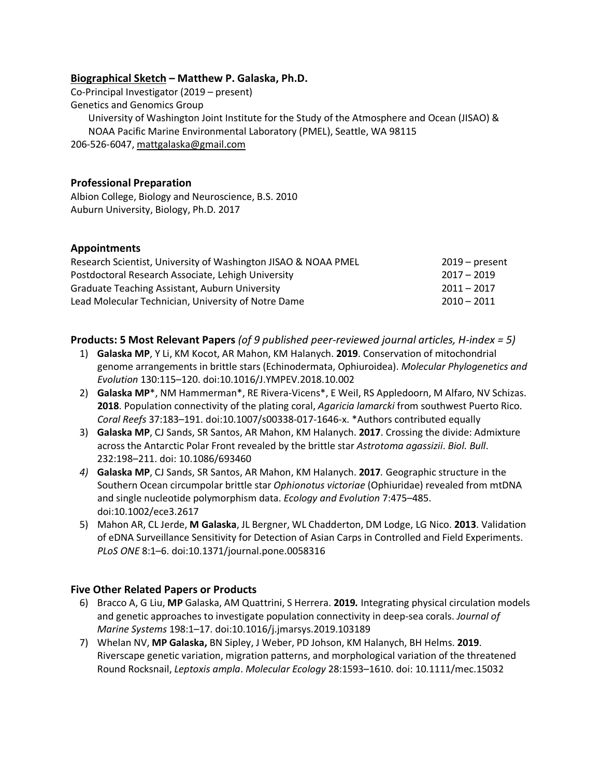### **Biographical Sketch – Matthew P. Galaska, Ph.D.**

Co-Principal Investigator (2019 – present) Genetics and Genomics Group University of Washington Joint Institute for the Study of the Atmosphere and Ocean (JISAO) & NOAA Pacific Marine Environmental Laboratory (PMEL), Seattle, WA 98115 206-526-6047, mattgalaska@gmail.com

### **Professional Preparation**

Albion College, Biology and Neuroscience, B.S. 2010 Auburn University, Biology, Ph.D. 2017

### **Appointments**

| Research Scientist, University of Washington JISAO & NOAA PMEL | $2019$ – present |
|----------------------------------------------------------------|------------------|
| Postdoctoral Research Associate, Lehigh University             | $2017 - 2019$    |
| <b>Graduate Teaching Assistant, Auburn University</b>          | $2011 - 2017$    |
| Lead Molecular Technician, University of Notre Dame            | $2010 - 2011$    |

**Products: 5 Most Relevant Papers** *(of 9 published peer-reviewed journal articles, H-index = 5)*

- 1) **Galaska MP**, Y Li, KM Kocot, AR Mahon, KM Halanych. **2019**. Conservation of mitochondrial genome arrangements in brittle stars (Echinodermata, Ophiuroidea). *Molecular Phylogenetics and Evolution* 130:115–120. doi:10.1016/J.YMPEV.2018.10.002
- 2) **Galaska MP**\*, NM Hammerman\*, RE Rivera-Vicens\*, E Weil, RS Appledoorn, M Alfaro, NV Schizas. **2018**. Population connectivity of the plating coral, *Agaricia lamarcki* from southwest Puerto Rico. *Coral Reefs* 37:183–191. doi:10.1007/s00338-017-1646-x. \*Authors contributed equally
- 3) **Galaska MP**, CJ Sands, SR Santos, AR Mahon, KM Halanych. **2017**. Crossing the divide: Admixture across the Antarctic Polar Front revealed by the brittle star *Astrotoma agassizii*. *Biol. Bull*. 232:198–211. doi: 10.1086/693460
- *4)* **Galaska MP**, CJ Sands, SR Santos, AR Mahon, KM Halanych. **2017***.* Geographic structure in the Southern Ocean circumpolar brittle star *Ophionotus victoriae* (Ophiuridae) revealed from mtDNA and single nucleotide polymorphism data. *Ecology and Evolution* 7:475–485. doi:10.1002/ece3.2617
- 5) Mahon AR, CL Jerde, **M Galaska**, JL Bergner, WL Chadderton, DM Lodge, LG Nico. **2013**. Validation of eDNA Surveillance Sensitivity for Detection of Asian Carps in Controlled and Field Experiments. *PLoS ONE* 8:1–6. doi:10.1371/journal.pone.0058316

# **Five Other Related Papers or Products**

- 6) Bracco A, G Liu, **MP** Galaska, AM Quattrini, S Herrera. **2019***.* Integrating physical circulation models and genetic approaches to investigate population connectivity in deep-sea corals. *Journal of Marine Systems* 198:1–17. doi:10.1016/j.jmarsys.2019.103189
- 7) Whelan NV, **MP Galaska,** BN Sipley, J Weber, PD Johson, KM Halanych, BH Helms. **2019**. Riverscape genetic variation, migration patterns, and morphological variation of the threatened Round Rocksnail, *Leptoxis ampla*. *Molecular Ecology* 28:1593–1610. doi: 10.1111/mec.15032